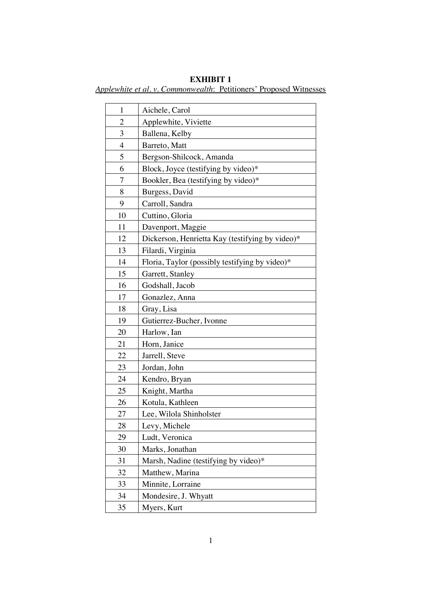## **EXHIBIT 1** *Applewhite et al. v. Commonwealth*: Petitioners' Proposed Witnesses

| $\mathbf{1}$   | Aichele, Carol                                  |
|----------------|-------------------------------------------------|
| $\mathbf{2}$   | Applewhite, Viviette                            |
| 3              | Ballena, Kelby                                  |
| $\overline{4}$ | Barreto, Matt                                   |
| 5              | Bergson-Shilcock, Amanda                        |
| 6              | Block, Joyce (testifying by video)*             |
| 7              | Bookler, Bea (testifying by video)*             |
| 8              | Burgess, David                                  |
| 9              | Carroll, Sandra                                 |
| 10             | Cuttino, Gloria                                 |
| 11             | Davenport, Maggie                               |
| 12             | Dickerson, Henrietta Kay (testifying by video)* |
| 13             | Filardi, Virginia                               |
| 14             | Floria, Taylor (possibly testifying by video)*  |
| 15             | Garrett, Stanley                                |
| 16             | Godshall, Jacob                                 |
| 17             | Gonazlez, Anna                                  |
| 18             | Gray, Lisa                                      |
| 19             | Gutierrez-Bucher, Ivonne                        |
| 20             | Harlow, Ian                                     |
| 21             | Horn, Janice                                    |
| 22             | Jarrell, Steve                                  |
| 23             | Jordan, John                                    |
| 24             | Kendro, Bryan                                   |
| 25             | Knight, Martha                                  |
| 26             | Kotula, Kathleen                                |
| 27             | Lee, Wilola Shinholster                         |
| 28             | Levy, Michele                                   |
| 29             | Ludt, Veronica                                  |
| 30             | Marks, Jonathan                                 |
| 31             | Marsh, Nadine (testifying by video)*            |
| 32             | Matthew, Marina                                 |
| 33             | Minnite, Lorraine                               |
| 34             | Mondesire, J. Whyatt                            |
| 35             | Myers, Kurt                                     |